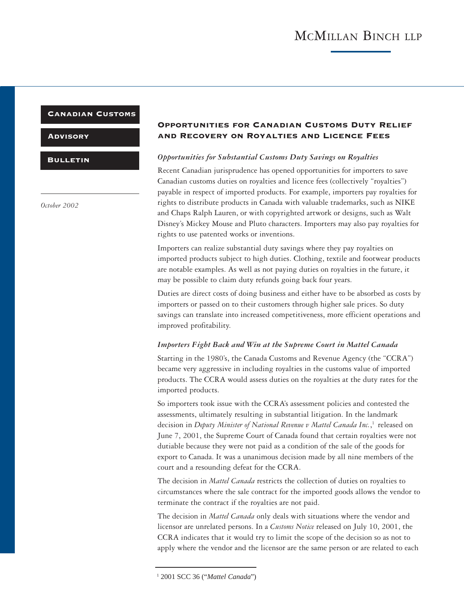#### Canadian Customs

**ADVISORY** 

**BULLETIN** 

*October 2002*

### Opportunities for Canadian Customs Duty Relief and Recovery on Royalties and Licence Fees

#### *Opportunities for Substantial Customs Duty Savings on Royalties*

Recent Canadian jurisprudence has opened opportunities for importers to save Canadian customs duties on royalties and licence fees (collectively "royalties") payable in respect of imported products. For example, importers pay royalties for rights to distribute products in Canada with valuable trademarks, such as NIKE and Chaps Ralph Lauren, or with copyrighted artwork or designs, such as Walt Disney's Mickey Mouse and Pluto characters. Importers may also pay royalties for rights to use patented works or inventions.

Importers can realize substantial duty savings where they pay royalties on imported products subject to high duties. Clothing, textile and footwear products are notable examples. As well as not paying duties on royalties in the future, it may be possible to claim duty refunds going back four years.

Duties are direct costs of doing business and either have to be absorbed as costs by importers or passed on to their customers through higher sale prices. So duty savings can translate into increased competitiveness, more efficient operations and improved profitability.

#### *Importers Fight Back and Win at the Supreme Court in Mattel Canada*

Starting in the 1980's, the Canada Customs and Revenue Agency (the "CCRA") became very aggressive in including royalties in the customs value of imported products. The CCRA would assess duties on the royalties at the duty rates for the imported products.

So importers took issue with the CCRA's assessment policies and contested the assessments, ultimately resulting in substantial litigation. In the landmark decision in *Deputy Minister of National Revenue v Mattel Canada Inc.*, 1 released on June 7, 2001, the Supreme Court of Canada found that certain royalties were not dutiable because they were not paid as a condition of the sale of the goods for export to Canada. It was a unanimous decision made by all nine members of the court and a resounding defeat for the CCRA.

The decision in *Mattel Canada* restricts the collection of duties on royalties to circumstances where the sale contract for the imported goods allows the vendor to terminate the contract if the royalties are not paid.

The decision in *Mattel Canada* only deals with situations where the vendor and licensor are unrelated persons. In a *Customs Notice* released on July 10, 2001, the CCRA indicates that it would try to limit the scope of the decision so as not to apply where the vendor and the licensor are the same person or are related to each

<sup>1</sup> 2001 SCC 36 ("*Mattel Canada*")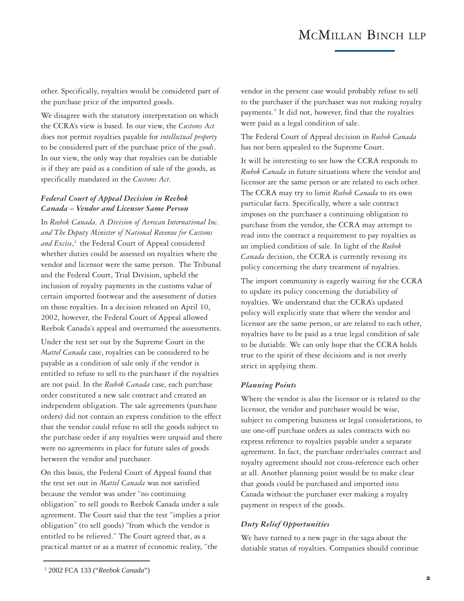## MCMILLAN BINCH LLP

other. Specifically, royalties would be considered part of the purchase price of the imported goods.

We disagree with the statutory interpretation on which the CCRA's view is based. In our view, the *Customs Act* does not permit royalties payable for *intellectual property* to be considered part of the purchase price of the *goods*. In our view, the only way that royalties can be dutiable is if they are paid as a condition of sale of the goods, as specifically mandated in the *Customs Act*.

#### *Federal Court of Appeal Decision in Reebok Canada – Vendor and Licensor Same Person*

In *Reebok Canada, A Division of Avrecan International Inc. and The Deputy Minister of National Revenue for Customs and Excise*, 2 the Federal Court of Appeal considered whether duties could be assessed on royalties where the vendor and licensor were the same person. The Tribunal and the Federal Court, Trial Division, upheld the inclusion of royalty payments in the customs value of certain imported footwear and the assessment of duties on those royalties. In a decision released on April 10, 2002, however, the Federal Court of Appeal allowed Reebok Canada's appeal and overturned the assessments.

Under the test set out by the Supreme Court in the *Mattel Canada* case, royalties can be considered to be payable as a condition of sale only if the vendor is entitled to refuse to sell to the purchaser if the royalties are not paid. In the *Reebok Canada* case, each purchase order constituted a new sale contract and created an independent obligation. The sale agreements (purchase orders) did not contain an express condition to the effect that the vendor could refuse to sell the goods subject to the purchase order if any royalties were unpaid and there were no agreements in place for future sales of goods between the vendor and purchaser.

On this basis, the Federal Court of Appeal found that the test set out in *Mattel Canada* was not satisfied because the vendor was under "no continuing obligation" to sell goods to Reebok Canada under a sale agreement. The Court said that the test "implies a prior obligation" (to sell goods) "from which the vendor is entitled to be relieved." The Court agreed that, as a practical matter or as a matter of economic reality, "the

vendor in the present case would probably refuse to sell to the purchaser if the purchaser was not making royalty payments." It did not, however, find that the royalties were paid as a legal condition of sale.

The Federal Court of Appeal decision in *Reebok Canada* has not been appealed to the Supreme Court.

It will be interesting to see how the CCRA responds to *Reebok Canada* in future situations where the vendor and licensor are the same person or are related to each other. The CCRA may try to limit *Reebok Canada* to its own particular facts. Specifically, where a sale contract imposes on the purchaser a continuing obligation to purchase from the vendor, the CCRA may attempt to read into the contract a requirement to pay royalties as an implied condition of sale. In light of the *Reebok Canada* decision, the CCRA is currently revising its policy concerning the duty treatment of royalties.

The import community is eagerly waiting for the CCRA to update its policy concerning the dutiability of royalties. We understand that the CCRA's updated policy will explicitly state that where the vendor and licensor are the same person, or are related to each other, royalties have to be paid as a true legal condition of sale to be dutiable. We can only hope that the CCRA holds true to the spirit of these decisions and is not overly strict in applying them.

#### *Planning Points*

Where the vendor is also the licensor or is related to the licensor, the vendor and purchaser would be wise, subject to competing business or legal considerations, to use one-off purchase orders as sales contracts with no express reference to royalties payable under a separate agreement. In fact, the purchase order/sales contract and royalty agreement should not cross-reference each other at all. Another planning point would be to make clear that goods could be purchased and imported into Canada without the purchaser ever making a royalty payment in respect of the goods.

#### *Duty Relief Opportunities*

We have turned to a new page in the saga about the dutiable status of royalties. Companies should continue

<sup>2</sup> 2002 FCA 133 ("*Reebok Canada*")